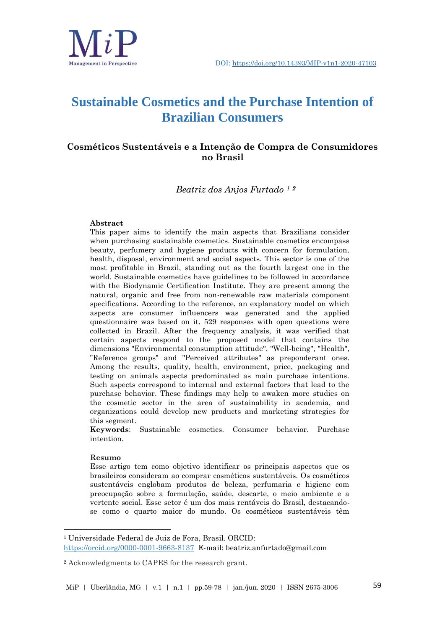

# **Sustainable Cosmetics and the Purchase Intention of Brazilian Consumers**

# **Cosméticos Sustentáveis e a Intenção de Compra de Consumidores no Brasil**

*Beatriz dos Anjos Furtado <sup>1</sup> <sup>2</sup>*

#### **Abstract**

This paper aims to identify the main aspects that Brazilians consider when purchasing sustainable cosmetics. Sustainable cosmetics encompass beauty, perfumery and hygiene products with concern for formulation, health, disposal, environment and social aspects. This sector is one of the most profitable in Brazil, standing out as the fourth largest one in the world. Sustainable cosmetics have guidelines to be followed in accordance with the Biodynamic Certification Institute. They are present among the natural, organic and free from non-renewable raw materials component specifications. According to the reference, an explanatory model on which aspects are consumer influencers was generated and the applied questionnaire was based on it. 529 responses with open questions were collected in Brazil. After the frequency analysis, it was verified that certain aspects respond to the proposed model that contains the dimensions "Environmental consumption attitude", "Well-being", "Health", "Reference groups" and "Perceived attributes" as preponderant ones. Among the results, quality, health, environment, price, packaging and testing on animals aspects predominated as main purchase intentions. Such aspects correspond to internal and external factors that lead to the purchase behavior. These findings may help to awaken more studies on the cosmetic sector in the area of sustainability in academia, and organizations could develop new products and marketing strategies for this segment.

**Keywords**: Sustainable cosmetics. Consumer behavior. Purchase intention.

#### **Resumo**

1

Esse artigo tem como objetivo identificar os principais aspectos que os brasileiros consideram ao comprar cosméticos sustentáveis. Os cosméticos sustentáveis englobam produtos de beleza, perfumaria e higiene com preocupação sobre a formulação, saúde, descarte, o meio ambiente e a vertente social. Esse setor é um dos mais rentáveis do Brasil, destacandose como o quarto maior do mundo. Os cosméticos sustentáveis têm

<sup>1</sup> Universidade Federal de Juiz de Fora, Brasil. ORCID: <https://orcid.org/0000-0001-9663-8137>E-mail: [beatriz.anfurtado@gmail.com](mailto:beatriz.anfurtado@gmail.com)

<sup>2</sup> Acknowledgments to CAPES for the research grant.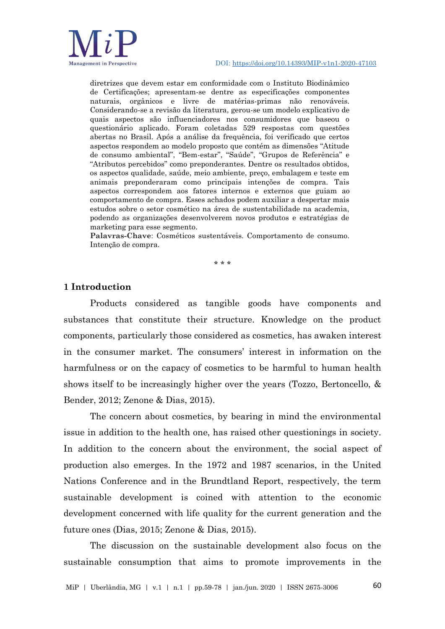

diretrizes que devem estar em conformidade com o Instituto Biodinâmico de Certificações; apresentam-se dentre as especificações componentes naturais, orgânicos e livre de matérias-primas não renováveis. Considerando-se a revisão da literatura, gerou-se um modelo explicativo de quais aspectos são influenciadores nos consumidores que baseou o questionário aplicado. Foram coletadas 529 respostas com questões abertas no Brasil. Após a análise da frequência, foi verificado que certos aspectos respondem ao modelo proposto que contém as dimensões "Atitude de consumo ambiental", "Bem-estar", "Saúde", "Grupos de Referência" e "Atributos percebidos" como preponderantes. Dentre os resultados obtidos, os aspectos qualidade, saúde, meio ambiente, preço, embalagem e teste em animais preponderaram como principais intenções de compra. Tais aspectos correspondem aos fatores internos e externos que guiam ao comportamento de compra. Esses achados podem auxiliar a despertar mais estudos sobre o setor cosmético na área de sustentabilidade na academia, podendo as organizações desenvolverem novos produtos e estratégias de marketing para esse segmento.

**Palavras-Chave**: Cosméticos sustentáveis. Comportamento de consumo. Intenção de compra.

\* \* \*

## **1 Introduction**

Products considered as tangible goods have components and substances that constitute their structure. Knowledge on the product components, particularly those considered as cosmetics, has awaken interest in the consumer market. The consumers' interest in information on the harmfulness or on the capacy of cosmetics to be harmful to human health shows itself to be increasingly higher over the years (Tozzo, Bertoncello, & Bender, 2012; Zenone & Dias, 2015).

The concern about cosmetics, by bearing in mind the environmental issue in addition to the health one, has raised other questionings in society. In addition to the concern about the environment, the social aspect of production also emerges. In the 1972 and 1987 scenarios, in the United Nations Conference and in the Brundtland Report, respectively, the term sustainable development is coined with attention to the economic development concerned with life quality for the current generation and the future ones (Dias, 2015; Zenone & Dias, 2015).

The discussion on the sustainable development also focus on the sustainable consumption that aims to promote improvements in the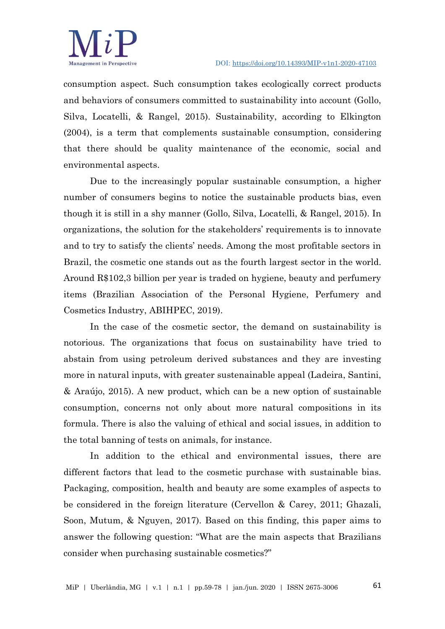

consumption aspect. Such consumption takes ecologically correct products and behaviors of consumers committed to sustainability into account (Gollo, Silva, Locatelli, & Rangel, 2015). Sustainability, according to Elkington (2004), is a term that complements sustainable consumption, considering that there should be quality maintenance of the economic, social and environmental aspects.

Due to the increasingly popular sustainable consumption, a higher number of consumers begins to notice the sustainable products bias, even though it is still in a shy manner (Gollo, Silva, Locatelli, & Rangel, 2015). In organizations, the solution for the stakeholders' requirements is to innovate and to try to satisfy the clients' needs. Among the most profitable sectors in Brazil, the cosmetic one stands out as the fourth largest sector in the world. Around R\$102,3 billion per year is traded on hygiene, beauty and perfumery items (Brazilian Association of the Personal Hygiene, Perfumery and Cosmetics Industry, ABIHPEC, 2019).

In the case of the cosmetic sector, the demand on sustainability is notorious. The organizations that focus on sustainability have tried to abstain from using petroleum derived substances and they are investing more in natural inputs, with greater sustenainable appeal (Ladeira, Santini, & Araújo, 2015). A new product, which can be a new option of sustainable consumption, concerns not only about more natural compositions in its formula. There is also the valuing of ethical and social issues, in addition to the total banning of tests on animals, for instance.

In addition to the ethical and environmental issues, there are different factors that lead to the cosmetic purchase with sustainable bias. Packaging, composition, health and beauty are some examples of aspects to be considered in the foreign literature (Cervellon & Carey, 2011; Ghazali, Soon, Mutum, & Nguyen, 2017). Based on this finding, this paper aims to answer the following question: "What are the main aspects that Brazilians consider when purchasing sustainable cosmetics?"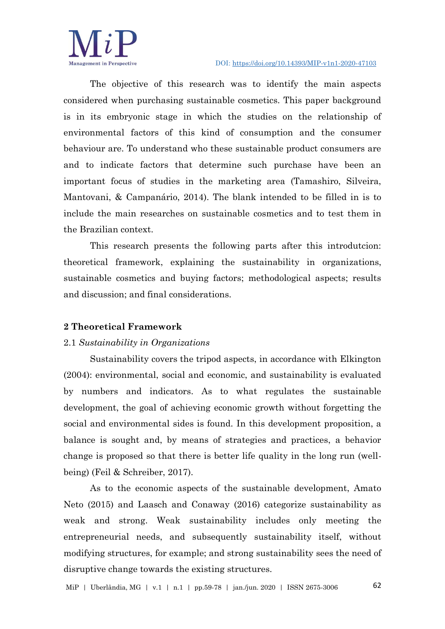

The objective of this research was to identify the main aspects considered when purchasing sustainable cosmetics. This paper background is in its embryonic stage in which the studies on the relationship of environmental factors of this kind of consumption and the consumer behaviour are. To understand who these sustainable product consumers are and to indicate factors that determine such purchase have been an important focus of studies in the marketing area (Tamashiro, Silveira, Mantovani, & Campanário, 2014). The blank intended to be filled in is to include the main researches on sustainable cosmetics and to test them in the Brazilian context.

This research presents the following parts after this introdutcion: theoretical framework, explaining the sustainability in organizations, sustainable cosmetics and buying factors; methodological aspects; results and discussion; and final considerations.

## **2 Theoretical Framework**

## 2.1 *Sustainability in Organizations*

Sustainability covers the tripod aspects, in accordance with Elkington (2004): environmental, social and economic, and sustainability is evaluated by numbers and indicators. As to what regulates the sustainable development, the goal of achieving economic growth without forgetting the social and environmental sides is found. In this development proposition, a balance is sought and, by means of strategies and practices, a behavior change is proposed so that there is better life quality in the long run (wellbeing) (Feil & Schreiber, 2017).

As to the economic aspects of the sustainable development, Amato Neto (2015) and Laasch and Conaway (2016) categorize sustainability as weak and strong. Weak sustainability includes only meeting the entrepreneurial needs, and subsequently sustainability itself, without modifying structures, for example; and strong sustainability sees the need of disruptive change towards the existing structures.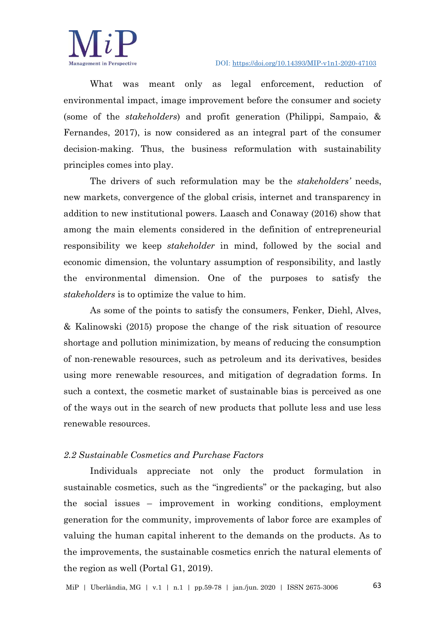

What was meant only as legal enforcement, reduction of environmental impact, image improvement before the consumer and society (some of the *stakeholders*) and profit generation (Philippi, Sampaio, & Fernandes, 2017), is now considered as an integral part of the consumer decision-making. Thus, the business reformulation with sustainability principles comes into play.

The drivers of such reformulation may be the *stakeholders'* needs, new markets, convergence of the global crisis, internet and transparency in addition to new institutional powers. Laasch and Conaway (2016) show that among the main elements considered in the definition of entrepreneurial responsibility we keep *stakeholder* in mind, followed by the social and economic dimension, the voluntary assumption of responsibility, and lastly the environmental dimension. One of the purposes to satisfy the *stakeholders* is to optimize the value to him.

As some of the points to satisfy the consumers, Fenker, Diehl, Alves, & Kalinowski (2015) propose the change of the risk situation of resource shortage and pollution minimization, by means of reducing the consumption of non-renewable resources, such as petroleum and its derivatives, besides using more renewable resources, and mitigation of degradation forms. In such a context, the cosmetic market of sustainable bias is perceived as one of the ways out in the search of new products that pollute less and use less renewable resources.

## *2.2 Sustainable Cosmetics and Purchase Factors*

Individuals appreciate not only the product formulation in sustainable cosmetics, such as the "ingredients" or the packaging, but also the social issues – improvement in working conditions, employment generation for the community, improvements of labor force are examples of valuing the human capital inherent to the demands on the products. As to the improvements, the sustainable cosmetics enrich the natural elements of the region as well (Portal G1, 2019).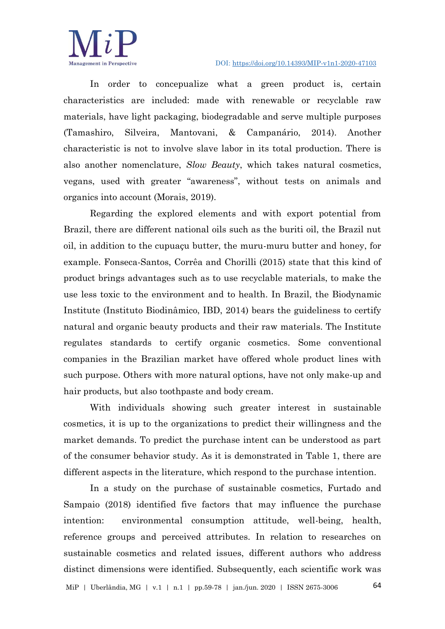

In order to concepualize what a green product is, certain characteristics are included: made with renewable or recyclable raw materials, have light packaging, biodegradable and serve multiple purposes (Tamashiro, Silveira, Mantovani, & Campanário, 2014). Another characteristic is not to involve slave labor in its total production. There is also another nomenclature, *Slow Beauty*, which takes natural cosmetics, vegans, used with greater "awareness", without tests on animals and organics into account (Morais, 2019).

Regarding the explored elements and with export potential from Brazil, there are different national oils such as the buriti oil, the Brazil nut oil, in addition to the cupuaçu butter, the muru-muru butter and honey, for example. Fonseca-Santos, Corrêa and Chorilli (2015) state that this kind of product brings advantages such as to use recyclable materials, to make the use less toxic to the environment and to health. In Brazil, the Biodynamic Institute (Instituto Biodinâmico, IBD, 2014) bears the guideliness to certify natural and organic beauty products and their raw materials. The Institute regulates standards to certify organic cosmetics. Some conventional companies in the Brazilian market have offered whole product lines with such purpose. Others with more natural options, have not only make-up and hair products, but also toothpaste and body cream.

With individuals showing such greater interest in sustainable cosmetics, it is up to the organizations to predict their willingness and the market demands. To predict the purchase intent can be understood as part of the consumer behavior study. As it is demonstrated in Table 1, there are different aspects in the literature, which respond to the purchase intention.

In a study on the purchase of sustainable cosmetics, Furtado and Sampaio (2018) identified five factors that may influence the purchase intention: environmental consumption attitude, well-being, health, reference groups and perceived attributes. In relation to researches on sustainable cosmetics and related issues, different authors who address distinct dimensions were identified. Subsequently, each scientific work was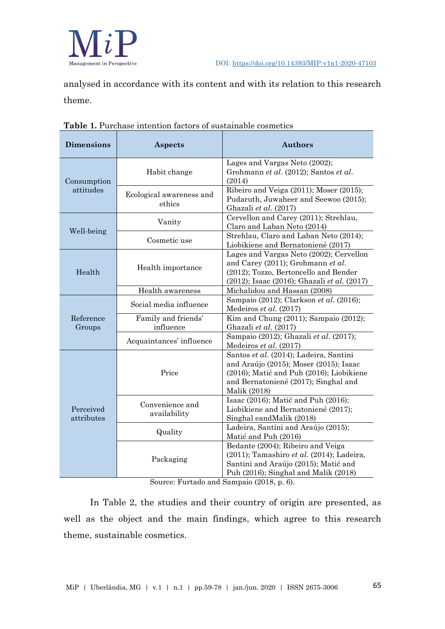

analysed in accordance with its content and with its relation to this research theme.

| <b>Dimensions</b>       | <b>Aspects</b>                     | <b>Authors</b>                                                                                                                                                                       |  |
|-------------------------|------------------------------------|--------------------------------------------------------------------------------------------------------------------------------------------------------------------------------------|--|
| Consumption             | Habit change                       | Lages and Vargas Neto (2002);<br>Grohmann et al. (2012); Santos et al.<br>(2014)                                                                                                     |  |
| attitudes               | Ecological awareness and<br>ethics | Ribeiro and Veiga (2011); Moser (2015);<br>Pudaruth, Juwaheer and Seewoo (2015);<br>Ghazali et al. (2017)                                                                            |  |
|                         | Vanity                             | Cervellon and Carey (2011); Strehlau,<br>Claro and Laban Neto (2014)                                                                                                                 |  |
| Well-being              | Cosmetic use                       | Strehlau, Claro and Laban Neto (2014);<br>Liobikiene and Bernatoniené (2017)                                                                                                         |  |
| Health                  | Health importance                  | Lages and Vargas Neto (2002); Cervellon<br>and Carey (2011); Grohmann et al.<br>(2012); Tozzo, Bertoncello and Bender<br>$(2012)$ ; Isaac $(2016)$ ; Ghazali et al. $(2017)$         |  |
|                         | Health awareness                   | Michalidou and Hassan (2008)                                                                                                                                                         |  |
| Reference<br>Groups     | Social media influence             | Sampaio (2012); Clarkson et al. (2016);<br>Medeiros et al. (2017)                                                                                                                    |  |
|                         | Family and friends'<br>influence   | Kim and Chung (2011); Sampaio (2012);<br>Ghazali et al. (2017)                                                                                                                       |  |
|                         | Acquaintances' influence           | Sampaio (2012); Ghazali et al. (2017);<br>Medeiros et al. (2017)                                                                                                                     |  |
|                         | Price                              | Santos et al. (2014); Ladeira, Santini<br>and Araújo (2015); Moser (2015); Isaac<br>(2016); Matić and Puh (2016); Liobikiene<br>and Bernatoniené (2017); Singhal and<br>Malik (2018) |  |
| Perceived<br>attributes | Convenience and<br>availability    | Isaac (2016); Matić and Puh (2016);<br>Liobikiene and Bernatoniené (2017);<br>Singhal eandMalik (2018)                                                                               |  |
|                         | Quality                            | Ladeira, Santini and Araújo (2015);<br>Matić and Puh (2016)                                                                                                                          |  |
|                         | Packaging                          | Bedante (2004); Ribeiro and Veiga<br>$(2011)$ ; Tamashiro et al. $(2014)$ ; Ladeira,<br>Santini and Araújo (2015); Matić and<br>Puh (2016); Singhal and Malik (2018)                 |  |

| <b>Table 1.</b> Purchase intention factors of sustainable cosmetics |  |  |  |  |  |  |  |  |
|---------------------------------------------------------------------|--|--|--|--|--|--|--|--|
|---------------------------------------------------------------------|--|--|--|--|--|--|--|--|

Source: Furtado and Sampaio (2018, p. 6).

In Table 2, the studies and their country of origin are presented, as well as the object and the main findings, which agree to this research theme, sustainable cosmetics.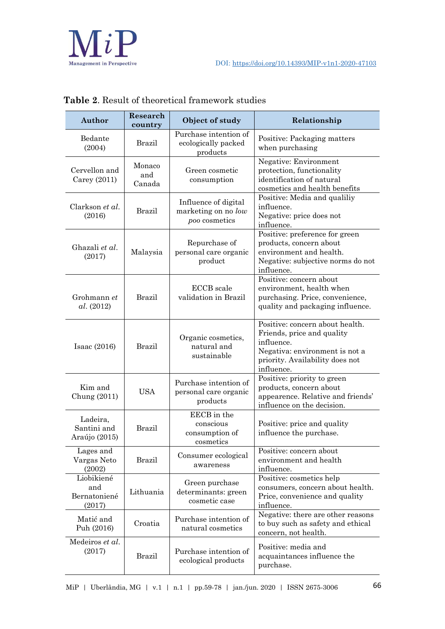

| Author                                      | Research<br>country     | Object of study                                              | Relationship                                                                                                                                                   |
|---------------------------------------------|-------------------------|--------------------------------------------------------------|----------------------------------------------------------------------------------------------------------------------------------------------------------------|
| Bedante<br>(2004)                           | <b>Brazil</b>           | Purchase intention of<br>ecologically packed<br>products     | Positive: Packaging matters<br>when purchasing                                                                                                                 |
| Cervellon and<br>Carey $(2011)$             | Monaco<br>and<br>Canada | Green cosmetic<br>consumption                                | Negative: Environment<br>protection, functionality<br>identification of natural<br>cosmetics and health benefits                                               |
| Clarkson <i>et al.</i><br>(2016)            | <b>Brazil</b>           | Influence of digital<br>marketing on no low<br>poo cosmetics | Positive: Media and qualiliy<br>influence.<br>Negative: price does not<br>influence.                                                                           |
| Ghazali et al.<br>(2017)                    | Malaysia                | Repurchase of<br>personal care organic<br>product            | Positive: preference for green<br>products, concern about<br>environment and health.<br>Negative: subjective norms do not<br>influence.                        |
| Grohmann et<br>al. (2012)                   | <b>Brazil</b>           | <b>ECCB</b> scale<br>validation in Brazil                    | Positive: concern about<br>environment, health when<br>purchasing. Price, convenience,<br>quality and packaging influence.                                     |
| Isaac $(2016)$                              | <b>Brazil</b>           | Organic cosmetics,<br>natural and<br>sustainable             | Positive: concern about health.<br>Friends, price and quality<br>influence.<br>Negativa: environment is not a<br>priority. Availability does not<br>influence. |
| Kim and<br>Chung (2011)                     | <b>USA</b>              | Purchase intention of<br>personal care organic<br>products   | Positive: priority to green<br>products, concern about<br>appearence. Relative and friends'<br>influence on the decision.                                      |
| Ladeira,<br>Santini and<br>Araújo (2015)    | <b>Brazil</b>           | EECB in the<br>conscious<br>consumption of<br>cosmetics      | Positive: price and quality<br>influence the purchase.                                                                                                         |
| Lages and<br>Vargas Neto<br>(2002)          | Brazil                  | Consumer ecological<br>awareness                             | Positive: concern about<br>environment and health<br>influence.                                                                                                |
| Liobikiené<br>and<br>Bernatoniené<br>(2017) | Lithuania               | Green purchase<br>determinants: green<br>cosmetic case       | Positive: cosmetics help<br>consumers, concern about health.<br>Price, convenience and quality<br>influence.                                                   |
| Matić and<br>Puh (2016)                     | Croatia                 | Purchase intention of<br>natural cosmetics                   | Negative: there are other reasons<br>to buy such as safety and ethical<br>concern, not health.                                                                 |
| Medeiros et al.<br>(2017)                   | <b>Brazil</b>           | Purchase intention of<br>ecological products                 | Positive: media and<br>acquaintances influence the<br>purchase.                                                                                                |

# **Table 2**. Result of theoretical framework studies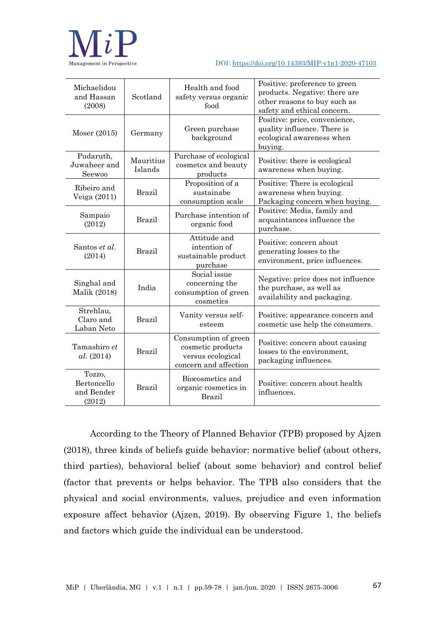

#### DOI[: https://doi.org/10.14393/MIP-v1n1-2020-47103](https://doi.org/10.14393/MIP-v1n1-2020-47103)

| Michaelidou<br>and Hassan<br>(2008)           | Scotland             | Health and food<br>safety versus organic<br>food                                        | Positive: preference to green<br>products. Negative: there are<br>other reasons to buy such as<br>safety and ethical concern. |
|-----------------------------------------------|----------------------|-----------------------------------------------------------------------------------------|-------------------------------------------------------------------------------------------------------------------------------|
| Moser $(2015)$                                | Germany              | Green purchase<br>background                                                            | Positive: price, convenience,<br>quality influence. There is<br>ecological awareness when<br>buying.                          |
| Pudaruth,<br>Juwaheer and<br>Seewoo           | Mauritius<br>Islands | Purchase of ecological<br>cosmetcs and beauty<br>products                               | Positive: there is ecological<br>awareness when buying.                                                                       |
| Ribeiro and<br>Veiga (2011)                   | <b>Brazil</b>        | Proposition of a<br>sustainabe<br>consumption scale                                     | Positive: There is ecological<br>awareness when buying.<br>Packaging concern when buying.                                     |
| Sampaio<br>(2012)                             | <b>Brazil</b>        | Purchase intention of<br>organic food                                                   | Positive: Media, family and<br>acquaintances influence the<br>purchase.                                                       |
| Santos et al.<br>(2014)                       | <b>Brazil</b>        | Attitude and<br>intention of<br>sustainable product<br>purchase                         | Positive: concern about<br>generating losses to the<br>environment, price influences.                                         |
| Singhal and<br>Malik (2018)                   | India                | Social issue<br>concerning the<br>consumption of green<br>cosmetics                     | Negative: price does not influence<br>the purchase, as well as<br>availability and packaging.                                 |
| Strehlau,<br>Claro and<br>Laban Neto          | <b>Brazil</b>        | Vanity versus self-<br>esteem                                                           | Positive: appearance concern and<br>cosmetic use help the consumers.                                                          |
| Tamashiro et<br>al. (2014)                    | <b>Brazil</b>        | Consumption of green<br>cosmetic products<br>versus ecological<br>concern and affection | Positive: concern about causing<br>losses to the environment,<br>packaging influences.                                        |
| Tozzo,<br>Bertoncello<br>and Bender<br>(2012) | <b>Brazil</b>        | Biocosmetics and<br>organic cosmetics in<br><b>Brazil</b>                               | Positive: concern about health<br>influences.                                                                                 |

According to the Theory of Planned Behavior (TPB) proposed by Ajzen (2018), three kinds of beliefs guide behavior: normative belief (about others, third parties), behavioral belief (about some behavior) and control belief (factor that prevents or helps behavior. The TPB also considers that the physical and social environments, values, prejudice and even information exposure affect behavior (Ajzen, 2019). By observing Figure 1, the beliefs and factors which guide the individual can be understood.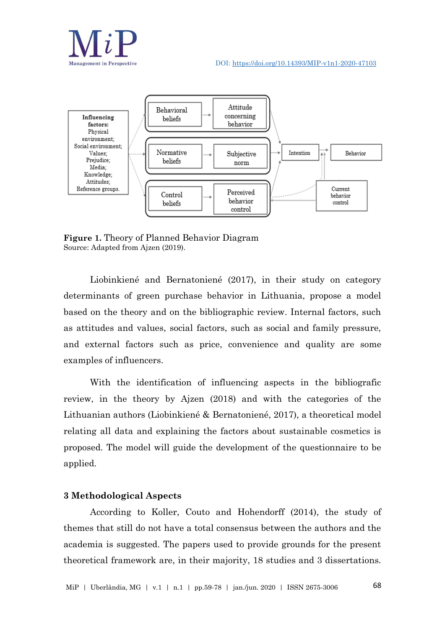



**Figure 1.** Theory of Planned Behavior Diagram Source: Adapted from Ajzen (2019).

Liobinkiené and Bernatoniené (2017), in their study on category determinants of green purchase behavior in Lithuania, propose a model based on the theory and on the bibliographic review. Internal factors, such as attitudes and values, social factors, such as social and family pressure, and external factors such as price, convenience and quality are some examples of influencers.

With the identification of influencing aspects in the bibliografic review, in the theory by Ajzen (2018) and with the categories of the Lithuanian authors (Liobinkiené & Bernatoniené, 2017), a theoretical model relating all data and explaining the factors about sustainable cosmetics is proposed. The model will guide the development of the questionnaire to be applied.

## **3 Methodological Aspects**

According to Koller, Couto and Hohendorff (2014), the study of themes that still do not have a total consensus between the authors and the academia is suggested. The papers used to provide grounds for the present theoretical framework are, in their majority, 18 studies and 3 dissertations.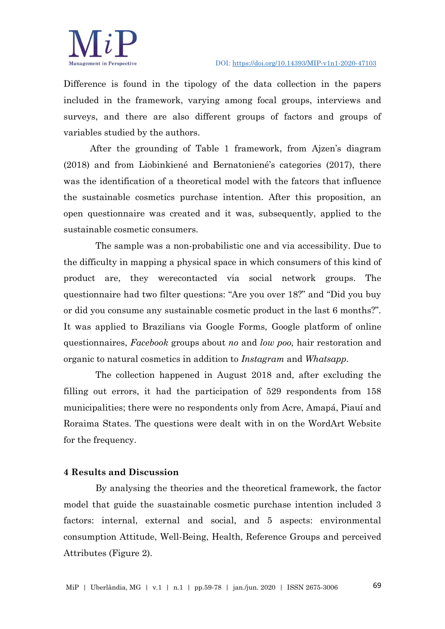

Difference is found in the tipology of the data collection in the papers included in the framework, varying among focal groups, interviews and surveys, and there are also different groups of factors and groups of variables studied by the authors.

After the grounding of Table 1 framework, from Ajzen's diagram (2018) and from Liobinkiené and Bernatoniené's categories (2017), there was the identification of a theoretical model with the fatcors that influence the sustainable cosmetics purchase intention. After this proposition, an open questionnaire was created and it was, subsequently, applied to the sustainable cosmetic consumers.

The sample was a non-probabilistic one and via accessibility. Due to the difficulty in mapping a physical space in which consumers of this kind of product are, they werecontacted via social network groups. The questionnaire had two filter questions: "Are you over 18?" and "Did you buy or did you consume any sustainable cosmetic product in the last 6 months?". It was applied to Brazilians via Google Forms, Google platform of online questionnaires, *Facebook* groups about *no* and *low poo,* hair restoration and organic to natural cosmetics in addition to *Instagram* and *Whatsapp.* 

The collection happened in August 2018 and, after excluding the filling out errors, it had the participation of 529 respondents from 158 municipalities; there were no respondents only from Acre, Amapá, Piauí and Roraima States. The questions were dealt with in on the WordArt Website for the frequency.

## **4 Results and Discussion**

By analysing the theories and the theoretical framework, the factor model that guide the suastainable cosmetic purchase intention included 3 factors: internal, external and social, and 5 aspects: environmental consumption Attitude, Well-Being, Health, Reference Groups and perceived Attributes (Figure 2).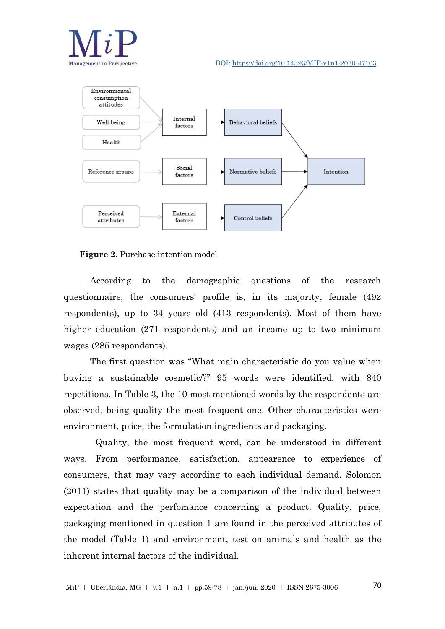



**Figure 2.** Purchase intention model

According to the demographic questions of the research questionnaire, the consumers' profile is, in its majority, female (492 respondents), up to 34 years old (413 respondents). Most of them have higher education (271 respondents) and an income up to two minimum wages (285 respondents).

The first question was "What main characteristic do you value when buying a sustainable cosmetic/?" 95 words were identified, with 840 repetitions. In Table 3, the 10 most mentioned words by the respondents are observed, being quality the most frequent one. Other characteristics were environment, price, the formulation ingredients and packaging.

Quality, the most frequent word, can be understood in different ways. From performance, satisfaction, appearence to experience of consumers, that may vary according to each individual demand. Solomon (2011) states that quality may be a comparison of the individual between expectation and the perfomance concerning a product. Quality, price, packaging mentioned in question 1 are found in the perceived attributes of the model (Table 1) and environment, test on animals and health as the inherent internal factors of the individual.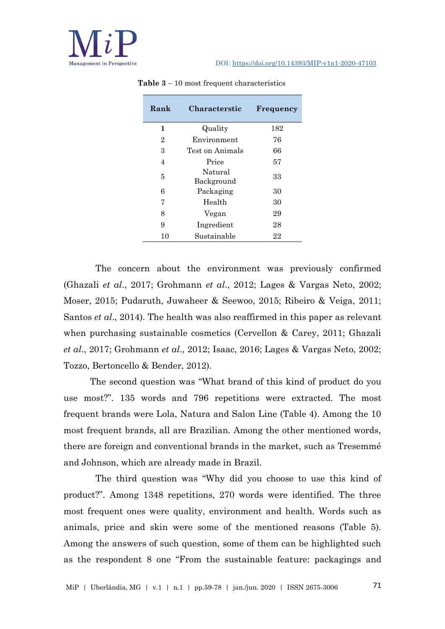

| Rank           | <b>Characterstic</b>  | Frequency |
|----------------|-----------------------|-----------|
| 1              | Quality               | 182       |
| $\overline{2}$ | Environment           | 76        |
| 3              | Test on Animals       | 66        |
| $\overline{4}$ | Price                 | 57        |
| 5              | Natural<br>Background | 33        |
| 6              | Packaging             | 30        |
| 7              | Health                | 30        |
| 8              | Vegan                 | 29        |
| 9              | Ingredient            | 28        |
| 10             | Sustainable           | 22        |

**Table 3** – 10 most frequent characteristics

The concern about the environment was previously confirmed (Ghazali *et al*., 2017; Grohmann *et al*., 2012; Lages & Vargas Neto, 2002; Moser, 2015; Pudaruth, Juwaheer & Seewoo, 2015; Ribeiro & Veiga, 2011; Santos *et al*., 2014). The health was also reaffirmed in this paper as relevant when purchasing sustainable cosmetics (Cervellon & Carey, 2011; Ghazali *et al*., 2017; Grohmann *et al*., 2012; Isaac, 2016; Lages & Vargas Neto, 2002; Tozzo, Bertoncello & Bender, 2012).

The second question was "What brand of this kind of product do you use most?". 135 words and 796 repetitions were extracted. The most frequent brands were Lola, Natura and Salon Line (Table 4). Among the 10 most frequent brands, all are Brazilian. Among the other mentioned words, there are foreign and conventional brands in the market, such as Tresemmé and Johnson, which are already made in Brazil.

The third question was "Why did you choose to use this kind of product?". Among 1348 repetitions, 270 words were identified. The three most frequent ones were quality, environment and health. Words such as animals, price and skin were some of the mentioned reasons (Table 5). Among the answers of such question, some of them can be highlighted such as the respondent 8 one "From the sustainable feature: packagings and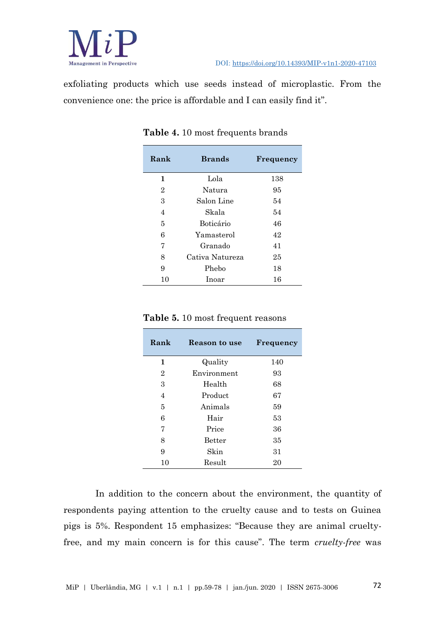

exfoliating products which use seeds instead of microplastic. From the convenience one: the price is affordable and I can easily find it".

| Rank           | <b>Brands</b>    | Frequency |
|----------------|------------------|-----------|
| 1              | Lola             | 138       |
| $\overline{2}$ | Natura           | 95        |
| 3              | Salon Line       | 54        |
| 4              | Skala            | 54        |
| 5              | <b>Boticário</b> | 46        |
| 6              | Yamasterol       | 42        |
| 7              | Granado          | 41        |
| 8              | Cativa Natureza  | 25        |
| 9              | Phebo            | 18        |
| 10             | Inoar            | 16        |

**Table 4.** 10 most frequents brands

|  |  |  | Table 5. 10 most frequent reasons |
|--|--|--|-----------------------------------|
|--|--|--|-----------------------------------|

| Rank | <b>Reason to use</b> | Frequency |
|------|----------------------|-----------|
| 1    | Quality              | 140       |
| 2    | Environment          | 93        |
| 3    | Health               | 68        |
| 4    | Product              | 67        |
| 5    | Animals              | 59        |
| 6    | Hair                 | 53        |
| 7    | Price                | 36        |
| 8    | <b>Better</b>        | 35        |
| 9    | Skin                 | 31        |
| 10   | Result               | 20        |

In addition to the concern about the environment, the quantity of respondents paying attention to the cruelty cause and to tests on Guinea pigs is 5%. Respondent 15 emphasizes: "Because they are animal crueltyfree, and my main concern is for this cause". The term *cruelty-free* was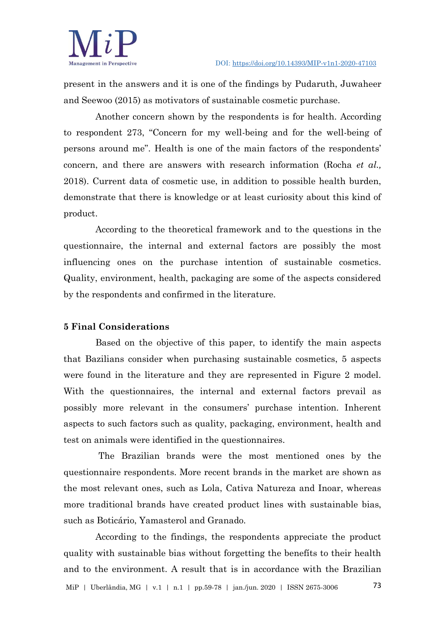

present in the answers and it is one of the findings by Pudaruth, Juwaheer and Seewoo (2015) as motivators of sustainable cosmetic purchase.

Another concern shown by the respondents is for health. According to respondent 273, "Concern for my well-being and for the well-being of persons around me". Health is one of the main factors of the respondents' concern, and there are answers with research information (Rocha *et al.,*  2018). Current data of cosmetic use, in addition to possible health burden, demonstrate that there is knowledge or at least curiosity about this kind of product.

According to the theoretical framework and to the questions in the questionnaire, the internal and external factors are possibly the most influencing ones on the purchase intention of sustainable cosmetics. Quality, environment, health, packaging are some of the aspects considered by the respondents and confirmed in the literature.

## **5 Final Considerations**

Based on the objective of this paper, to identify the main aspects that Bazilians consider when purchasing sustainable cosmetics, 5 aspects were found in the literature and they are represented in Figure 2 model. With the questionnaires, the internal and external factors prevail as possibly more relevant in the consumers' purchase intention. Inherent aspects to such factors such as quality, packaging, environment, health and test on animals were identified in the questionnaires.

 The Brazilian brands were the most mentioned ones by the questionnaire respondents. More recent brands in the market are shown as the most relevant ones, such as Lola, Cativa Natureza and Inoar, whereas more traditional brands have created product lines with sustainable bias, such as Boticário, Yamasterol and Granado.

According to the findings, the respondents appreciate the product quality with sustainable bias without forgetting the benefíts to their health and to the environment. A result that is in accordance with the Brazilian

MiP | Uberlândia, MG | v.1 | n.1 | pp.59-78 | jan./jun. 2020 | ISSN 2675-3006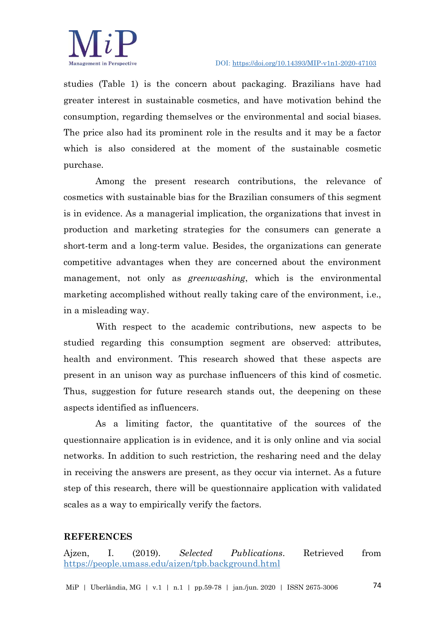

studies (Table 1) is the concern about packaging. Brazilians have had greater interest in sustainable cosmetics, and have motivation behind the consumption, regarding themselves or the environmental and social biases. The price also had its prominent role in the results and it may be a factor which is also considered at the moment of the sustainable cosmetic purchase.

Among the present research contributions, the relevance of cosmetics with sustainable bias for the Brazilian consumers of this segment is in evidence. As a managerial implication, the organizations that invest in production and marketing strategies for the consumers can generate a short-term and a long-term value. Besides, the organizations can generate competitive advantages when they are concerned about the environment management, not only as *greenwashing*, which is the environmental marketing accomplished without really taking care of the environment, i.e., in a misleading way.

 With respect to the academic contributions, new aspects to be studied regarding this consumption segment are observed: attributes, health and environment. This research showed that these aspects are present in an unison way as purchase influencers of this kind of cosmetic. Thus, suggestion for future research stands out, the deepening on these aspects identified as influencers.

As a limiting factor, the quantitative of the sources of the questionnaire application is in evidence, and it is only online and via social networks. In addition to such restriction, the resharing need and the delay in receiving the answers are present, as they occur via internet. As a future step of this research, there will be questionnaire application with validated scales as a way to empirically verify the factors.

## **REFERENCES**

Ajzen, I. (2019). *Selected Publications*. Retrieved from <https://people.umass.edu/aizen/tpb.background.html>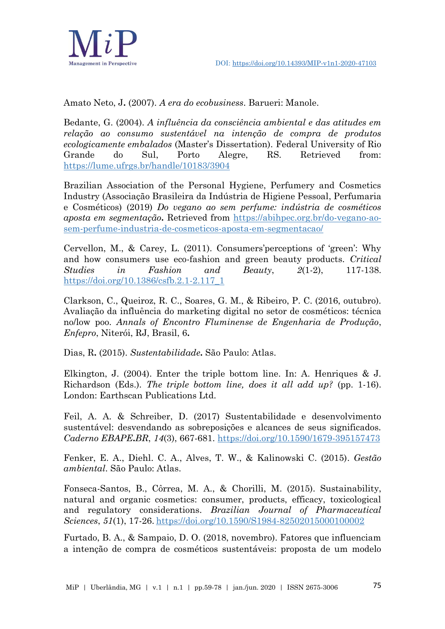

Amato Neto, J**.** (2007). *A era do ecobusiness*. Barueri: Manole.

Bedante, G. (2004). *A influência da consciência ambiental e das atitudes em relação ao consumo sustentável na intenção de compra de produtos ecologicamente embalados* (Master's Dissertation). Federal University of Rio Grande do Sul, Porto Alegre, RS. Retrieved from: <https://lume.ufrgs.br/handle/10183/3904>

Brazilian Association of the Personal Hygiene, Perfumery and Cosmetics Industry (Associação Brasileira da Indústria de Higiene Pessoal, Perfumaria e Cosméticos) (2019) *Do vegano ao sem perfume: indústria de cosméticos aposta em segmentação***.** Retrieved from [https://abihpec.org.br/do-vegano-ao](https://abihpec.org.br/do-vegano-ao-sem-perfume-industria-de-cosmeticos-aposta-em-segmentacao/)[sem-perfume-industria-de-cosmeticos-aposta-em-segmentacao/](https://abihpec.org.br/do-vegano-ao-sem-perfume-industria-de-cosmeticos-aposta-em-segmentacao/)

Cervellon, M., & Carey, L. (2011). Consumers'perceptions of 'green': Why and how consumers use eco-fashion and green beauty products. *Critical Studies in Fashion and Beauty*, *2*(1-2), 117-138. [https://doi.org/10.1386/csfb.2.1-2.117\\_1](https://doi.org/10.1386/csfb.2.1-2.117_1)

Clarkson, C., Queiroz, R. C., Soares, G. M., & Ribeiro, P. C. (2016, outubro). Avaliação da influência do marketing digital no setor de cosméticos: técnica no/low poo. *Annals of Encontro Fluminense de Engenharia de Produção*, *Enfepro*, Niterói, RJ, Brasil, 6**.**

Dias, R**.** (2015). *Sustentabilidade***.** São Paulo: Atlas.

Elkington, J. (2004). Enter the triple bottom line. In: A. Henriques & J. Richardson (Eds.). *The triple bottom line, does it all add up?* (pp. 1-16). London: Earthscan Publications Ltd.

Feil, A. A. & Schreiber, D. (2017) Sustentabilidade e desenvolvimento sustentável: desvendando as sobreposições e alcances de seus significados. *Caderno EBAPE***.***BR*, *14*(3), 667-681.<https://doi.org/10.1590/1679-395157473>

Fenker, E. A., Diehl. C. A., Alves, T. W., & Kalinowski C. (2015). *Gestão ambiental*. São Paulo: Atlas.

Fonseca-Santos, B., Côrrea, M. A., & Chorilli, M. (2015). Sustainability, natural and organic cosmetics: consumer, products, efficacy, toxicological and regulatory considerations. *Brazilian Journal of Pharmaceutical Sciences*, *51*(1), 17-26. <https://doi.org/10.1590/S1984-82502015000100002>

Furtado, B. A., & Sampaio, D. O. (2018, novembro). Fatores que influenciam a intenção de compra de cosméticos sustentáveis: proposta de um modelo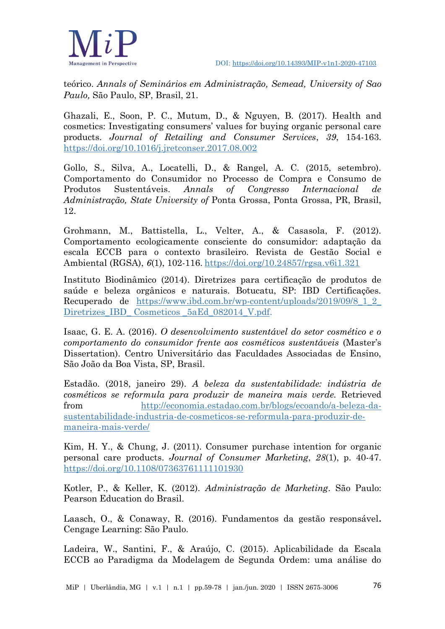

teórico. *Annals of Seminários em Administração, Semead, University of Sao Paulo,* São Paulo, SP, Brasil, 21.

Ghazali, E., Soon, P. C., Mutum, D., & Nguyen, B. (2017). Health and cosmetics: Investigating consumers' values for buying organic personal care products. *Journal of Retailing and Consumer Services*, *39*, 154-163. <https://doi.org/10.1016/j.jretconser.2017.08.002>

Gollo, S., Silva, A., Locatelli, D., & Rangel, A. C. (2015, setembro). Comportamento do Consumidor no Processo de Compra e Consumo de Produtos Sustentáveis. *Annals of Congresso Internacional de Administração, State University of* Ponta Grossa, Ponta Grossa, PR, Brasil, 12.

Grohmann, M., Battistella, L., Velter, A., & Casasola, F. (2012). Comportamento ecologicamente consciente do consumidor: adaptação da escala ECCB para o contexto brasileiro. Revista de Gestão Social e Ambiental (RGSA), *6*(1), 102-116. <https://doi.org/10.24857/rgsa.v6i1.321>

Instituto Biodinâmico (2014). Diretrizes para certificação de produtos de saúde e beleza orgânicos e naturais. Botucatu, SP: IBD Certificações. Recuperado de [https://www.ibd.com.br/wp-content/uploads/2019/09/8\\_1\\_2\\_](https://www.ibd.com.br/wp-content/uploads/2019/09/8_1_2_%20Diretrizes_IBD_%20Cosmeticos%20_5aEd_082014_V.pdf)  Diretrizes IBD Cosmeticos 5aEd 082014 V.pdf.

Isaac, G. E. A. (2016). *O desenvolvimento sustentável do setor cosmético e o comportamento do consumidor frente aos cosméticos sustentáveis* (Master's Dissertation). Centro Universitário das Faculdades Associadas de Ensino, São João da Boa Vista, SP, Brasil.

Estadão. (2018, janeiro 29). *A beleza da sustentabilidade: indústria de cosméticos se reformula para produzir de maneira mais verde.* Retrieved from [http://economia.estadao.com.br/blogs/ecoando/a-beleza-da](http://economia.estadao.com.br/blogs/ecoando/a-beleza-da-sustentabilidade-industria-de-cosmeticos-se-reformula-para-produzir-de-maneira-mais-verde/)[sustentabilidade-industria-de-cosmeticos-se-reformula-para-produzir-de](http://economia.estadao.com.br/blogs/ecoando/a-beleza-da-sustentabilidade-industria-de-cosmeticos-se-reformula-para-produzir-de-maneira-mais-verde/)[maneira-mais-verde/](http://economia.estadao.com.br/blogs/ecoando/a-beleza-da-sustentabilidade-industria-de-cosmeticos-se-reformula-para-produzir-de-maneira-mais-verde/)

Kim, H. Y., & Chung, J. (2011). Consumer purchase intention for organic personal care products. *Journal of Consumer Marketing*, *28*(1), p. 40-47. <https://doi.org/10.1108/07363761111101930>

Kotler, P., & Keller, K. (2012). *Administração de Marketing*. São Paulo: Pearson Education do Brasil.

Laasch, O., & Conaway, R. (2016). Fundamentos da gestão responsável**.** Cengage Learning: São Paulo.

Ladeira, W., Santini, F., & Araújo, C. (2015). Aplicabilidade da Escala ECCB ao Paradigma da Modelagem de Segunda Ordem: uma análise do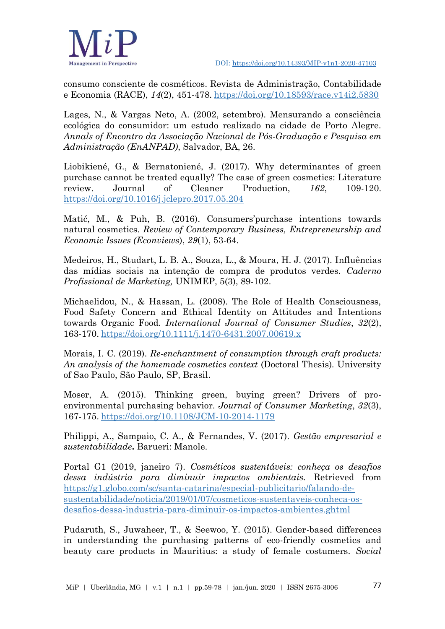

consumo consciente de cosméticos. Revista de Administração, Contabilidade e Economia (RACE), *14*(2), 451-478. <https://doi.org/10.18593/race.v14i2.5830>

Lages, N., & Vargas Neto, A. (2002, setembro). Mensurando a consciência ecológica do consumidor: um estudo realizado na cidade de Porto Alegre. *Annals of Encontro da Associação Nacional de Pós-Graduação e Pesquisa em Administração (EnANPAD)*, Salvador, BA, 26.

Liobikiené, G., & Bernatoniené, J. (2017). Why determinantes of green purchase cannot be treated equally? The case of green cosmetics: Literature review. Journal of Cleaner Production, *162*, 109-120. <https://doi.org/10.1016/j.jclepro.2017.05.204>

Matić, M., & Puh, B. (2016). Consumers'purchase intentions towards natural cosmetics. *Review of Contemporary Business, Entrepreneurship and Economic Issues (Econviews*), *29*(1), 53-64.

Medeiros, H., Studart, L. B. A., Souza, L., & Moura, H. J. (2017). Influências das mídias sociais na intenção de compra de produtos verdes. *Caderno Profissional de Marketing,* UNIMEP, 5(3), 89-102.

Michaelidou, N., & Hassan, L. (2008). The Role of Health Consciousness, Food Safety Concern and Ethical Identity on Attitudes and Intentions towards Organic Food. *International Journal of Consumer Studies*, *32*(2), 163-170. <https://doi.org/10.1111/j.1470-6431.2007.00619.x>

Morais, I. C. (2019). *Re-enchantment of consumption through craft products: An analysis of the homemade cosmetics context* (Doctoral Thesis)*.* University of Sao Paulo, São Paulo, SP, Brasil.

Moser, A. (2015). Thinking green, buying green? Drivers of proenvironmental purchasing behavior. *Journal of Consumer Marketing*, *32*(3), 167-175. <https://doi.org/10.1108/JCM-10-2014-1179>

Philippi, A., Sampaio, C. A., & Fernandes, V. (2017). *Gestão empresarial e sustentabilidade***.** Barueri: Manole.

Portal G1 (2019, janeiro 7). *Cosméticos sustentáveis: conheça os desafios dessa indústria para diminuir impactos ambientais.* Retrieved from [https://g1.globo.com/sc/santa-catarina/especial-publicitario/falando-de](https://g1.globo.com/sc/santa-catarina/especial-publicitario/falando-de-sustentabilidade/noticia/2019/01/07/cosmeticos-sustentaveis-conheca-os-desafios-dessa-industria-para-diminuir-os-impactos-ambientes.ghtml)[sustentabilidade/noticia/2019/01/07/cosmeticos-sustentaveis-conheca-os](https://g1.globo.com/sc/santa-catarina/especial-publicitario/falando-de-sustentabilidade/noticia/2019/01/07/cosmeticos-sustentaveis-conheca-os-desafios-dessa-industria-para-diminuir-os-impactos-ambientes.ghtml)[desafios-dessa-industria-para-diminuir-os-impactos-ambientes.ghtml](https://g1.globo.com/sc/santa-catarina/especial-publicitario/falando-de-sustentabilidade/noticia/2019/01/07/cosmeticos-sustentaveis-conheca-os-desafios-dessa-industria-para-diminuir-os-impactos-ambientes.ghtml)

Pudaruth, S., Juwaheer, T., & Seewoo, Y. (2015). Gender-based differences in understanding the purchasing patterns of eco-friendly cosmetics and beauty care products in Mauritius: a study of female costumers. *Social*